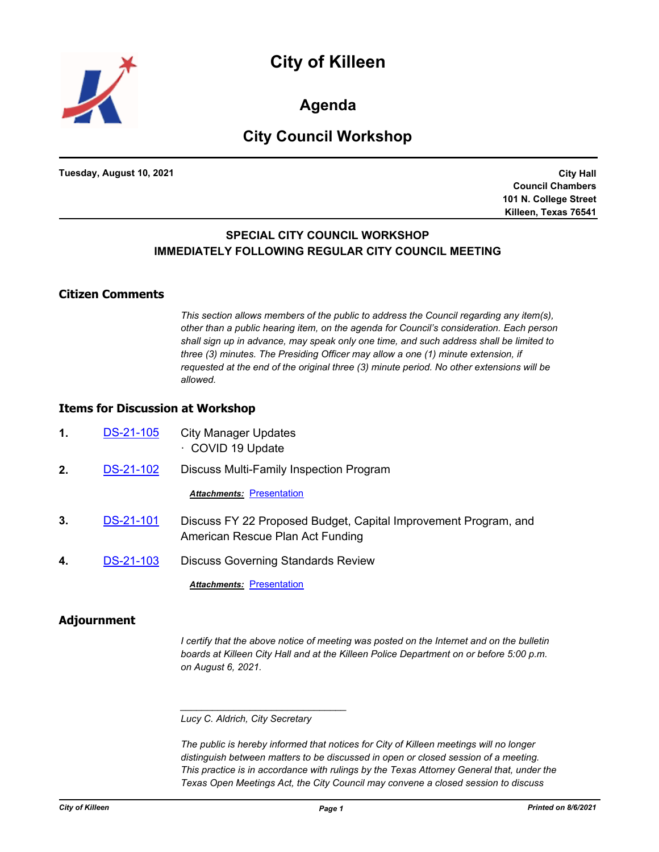

**Agenda**

# **City Council Workshop**

**Tuesday, August 10, 2021**

**City Hall Council Chambers 101 N. College Street Killeen, Texas 76541**

## **SPECIAL CITY COUNCIL WORKSHOP IMMEDIATELY FOLLOWING REGULAR CITY COUNCIL MEETING**

#### **Citizen Comments**

*This section allows members of the public to address the Council regarding any item(s), other than a public hearing item, on the agenda for Council's consideration. Each person shall sign up in advance, may speak only one time, and such address shall be limited to three (3) minutes. The Presiding Officer may allow a one (1) minute extension, if requested at the end of the original three (3) minute period. No other extensions will be allowed.*

### **Items for Discussion at Workshop**

- **1.** [DS-21-105](http://killeen.legistar.com/gateway.aspx?m=l&id=/matter.aspx?key=5661) City Manager Updates · COVID 19 Update
- **2.** [DS-21-102](http://killeen.legistar.com/gateway.aspx?m=l&id=/matter.aspx?key=5621) Discuss Multi-Family Inspection Program

**Attachments: [Presentation](http://killeen.legistar.com/gateway.aspx?M=F&ID=a5ba87ce-2ff5-468c-8af4-6e2f9b3b832e.pdf)** 

- **3.** [DS-21-101](http://killeen.legistar.com/gateway.aspx?m=l&id=/matter.aspx?key=5615) Discuss FY 22 Proposed Budget, Capital Improvement Program, and American Rescue Plan Act Funding
- 4. [DS-21-103](http://killeen.legistar.com/gateway.aspx?m=l&id=/matter.aspx?key=5616) Discuss Governing Standards Review

**Attachments: [Presentation](http://killeen.legistar.com/gateway.aspx?M=F&ID=fe96afef-e51d-4f40-9a56-4679b7c7f483.pdf)** 

#### **Adjournment**

*I* certify that the above notice of meeting was posted on the Internet and on the bulletin *boards at Killeen City Hall and at the Killeen Police Department on or before 5:00 p.m. on August 6, 2021.*

#### *Lucy C. Aldrich, City Secretary*

*\_\_\_\_\_\_\_\_\_\_\_\_\_\_\_\_\_\_\_\_\_\_\_\_\_\_\_\_\_\_\_*

*The public is hereby informed that notices for City of Killeen meetings will no longer distinguish between matters to be discussed in open or closed session of a meeting. This practice is in accordance with rulings by the Texas Attorney General that, under the Texas Open Meetings Act, the City Council may convene a closed session to discuss*